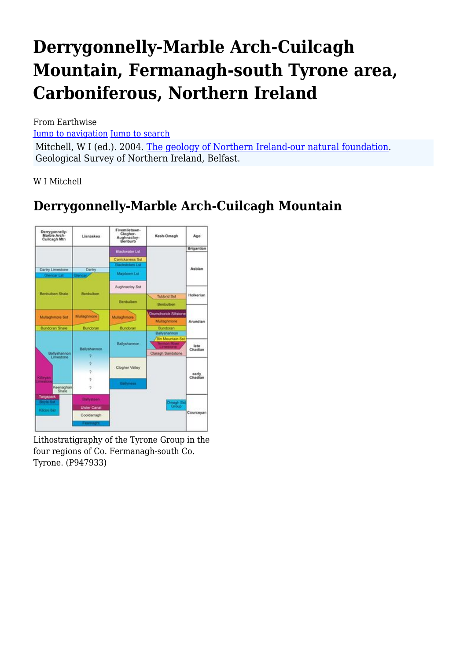# **Derrygonnelly-Marble Arch-Cuilcagh Mountain, Fermanagh-south Tyrone area, Carboniferous, Northern Ireland**

From Earthwise

[Jump to navigation](#page--1-0) [Jump to search](#page--1-0)

Mitchell, W I (ed.). 2004. [The geology of Northern Ireland-our natural foundation](http://earthwise.bgs.ac.uk/index.php/Geology_of_Northern_Ireland:_our_natural_foundation). Geological Survey of Northern Ireland, Belfast.

W I Mitchell

# **Derrygonnelly-Marble Arch-Cuilcagh Mountain**



Lithostratigraphy of the Tyrone Group in the four regions of Co. Fermanagh-south Co. Tyrone. (P947933)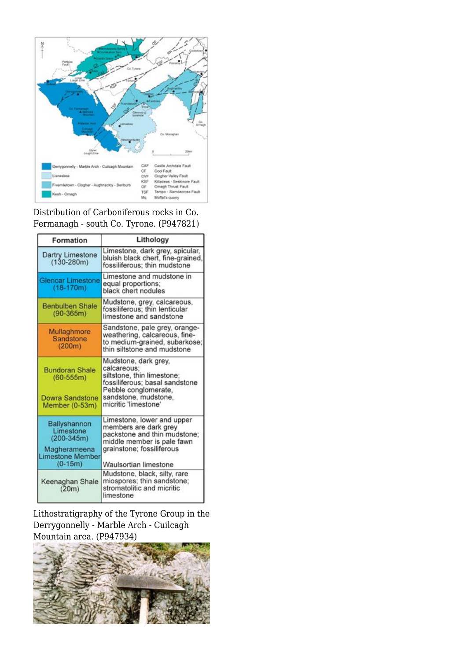

#### Distribution of Carboniferous rocks in Co. Fermanagh - south Co. Tyrone. (P947821)

| Formation                                                                                 | Lithology                                                                                                                                                                   |
|-------------------------------------------------------------------------------------------|-----------------------------------------------------------------------------------------------------------------------------------------------------------------------------|
| Dartry Limestone<br>$(130-280m)$                                                          | Limestone, dark grey, spicular,<br>bluish black chert, fine-grained,<br>fossiliferous; thin mudstone                                                                        |
| <b>Glencar Limestone</b><br>$(18-170m)$                                                   | Limestone and mudstone in<br>equal proportions;<br>black chert nodules                                                                                                      |
| <b>Benbulben Shale</b><br>$(90-365m)$                                                     | Mudstone, grey, calcareous,<br>fossiliferous: thin lenticular<br>limestone and sandstone                                                                                    |
| Mullaghmore<br>Sandstone<br>(200m)                                                        | Sandstone, pale grey, orange-<br>weathering, calcareous, fine-<br>to medium-grained, subarkose;<br>thin siltstone and mudstone                                              |
| <b>Bundoran Shale</b><br>$(60-555m)$<br>Dowra Sandstone<br>Member (0-53m)                 | Mudstone, dark grey,<br>calcareous:<br>siltstone, thin limestone;<br>fossiliferous; basal sandstone<br>Pebble conglomerate.<br>sandstone, mudstone,<br>micritic 'limestone' |
| Ballyshannon<br>Limestone<br>$(200-345m)$<br>Magherameena<br>imestone Member<br>$(0-15m)$ | Limestone, lower and upper<br>members are dark grey<br>packstone and thin mudstone;<br>middle member is pale fawn<br>grainstone; fossiliferous<br>Waulsortian limestone     |
| Keenaghan Shale<br>(20m)                                                                  | Mudstone, black, silty, rare<br>miospores; thin sandstone;<br>stromatolitic and micritic<br>limestone                                                                       |

Lithostratigraphy of the Tyrone Group in the Derrygonnelly - Marble Arch - Cuilcagh Mountain area. (P947934)

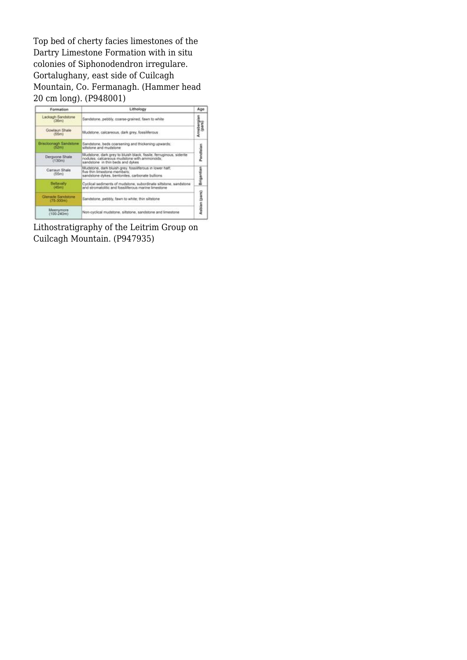Top bed of cherty facies limestones of the Dartry Limestone Formation with in situ colonies of Siphonodendron irregulare. Gortalughany, east side of Cuilcagh Mountain, Co. Fermanagh. (Hammer head 20 cm long). (P948001)



Lithostratigraphy of the Leitrim Group on Cuilcagh Mountain. (P947935)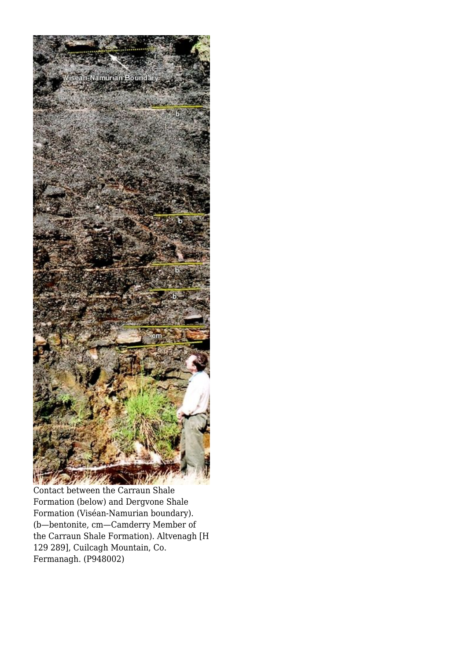

Contact between the Carraun Shale Formation (below) and Dergvone Shale Formation (Viséan-Namurian boundary). (b—bentonite, cm—Camderry Member of the Carraun Shale Formation). Altvenagh [H 129 289], Cuilcagh Mountain, Co. Fermanagh. (P948002)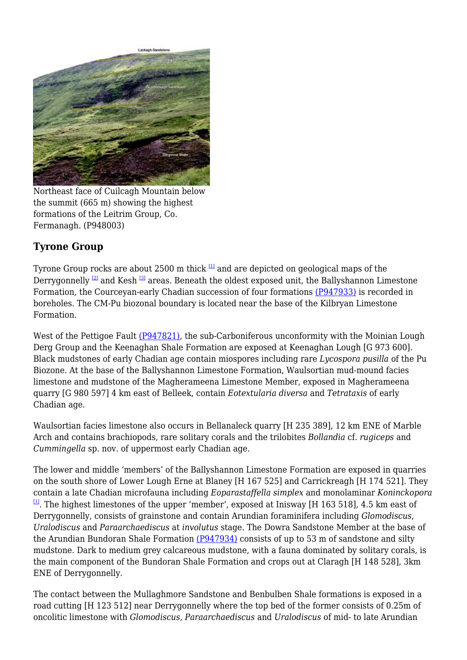

Northeast face of Cuilcagh Mountain below the summit (665 m) showing the highest formations of the Leitrim Group, Co. Fermanagh. (P948003)

# **Tyrone Group**

Tyrone Group rocks are about 2500 m thick  $\frac{11}{2}$  and are depicted on geological maps of the Derrygonnelly  $^{[2]}$  $^{[2]}$  $^{[2]}$  and Kesh  $^{[3]}$  $^{[3]}$  $^{[3]}$  areas. Beneath the oldest exposed unit, the Ballyshannon Limestone Formation, the Courceyan-early Chadian succession of four formations [\(P947933\)](http://earthwise.bgs.ac.uk/images/6/6c/P947933.jpg) is recorded in boreholes. The CM-Pu biozonal boundary is located near the base of the Kilbryan Limestone Formation.

West of the Pettigoe Fault [\(P947821\)](http://earthwise.bgs.ac.uk/images/6/6e/P947821.jpg), the sub-Carboniferous unconformity with the Moinian Lough Derg Group and the Keenaghan Shale Formation are exposed at Keenaghan Lough [G 973 600]. Black mudstones of early Chadian age contain miospores including rare *Lycospora pusilla* of the Pu Biozone. At the base of the Ballyshannon Limestone Formation, Waulsortian mud-mound facies limestone and mudstone of the Magherameena Limestone Member, exposed in Magherameena quarry [G 980 597] 4 km east of Belleek, contain *Eotextularia diversa* and *Tetrataxis* of early Chadian age.

Waulsortian facies limestone also occurs in Bellanaleck quarry [H 235 389], 12 km ENE of Marble Arch and contains brachiopods, rare solitary corals and the trilobites *Bollandia* cf. *rugiceps* and *Cummingella* sp. nov. of uppermost early Chadian age.

The lower and middle 'members' of the Ballyshannon Limestone Formation are exposed in quarries on the south shore of Lower Lough Erne at Blaney [H 167 525] and Carrickreagh [H 174 521]. They contain a late Chadian microfauna including *Eoparastaffella simplex* and monolaminar *Koninckopora*  $\mu$ . The highest limestones of the upper 'member', exposed at Inisway [H 163 518], 4.5 km east of Derrygonnelly, consists of grainstone and contain Arundian foraminifera including *Glomodiscus*, *Uralodiscus* and *Paraarchaediscus* at *involutus* stage. The Dowra Sandstone Member at the base of the Arundian Bundoran Shale Formation [\(P947934\)](http://earthwise.bgs.ac.uk/images/f/fc/P947934.jpg) consists of up to 53 m of sandstone and silty mudstone. Dark to medium grey calcareous mudstone, with a fauna dominated by solitary corals, is the main component of the Bundoran Shale Formation and crops out at Claragh [H 148 528], 3km ENE of Derrygonnelly.

The contact between the Mullaghmore Sandstone and Benbulben Shale formations is exposed in a road cutting [H 123 512] near Derrygonnelly where the top bed of the former consists of 0.25m of oncolitic limestone with *Glomodiscus*, *Paraarchaediscus* and *Uralodiscus* of mid- to late Arundian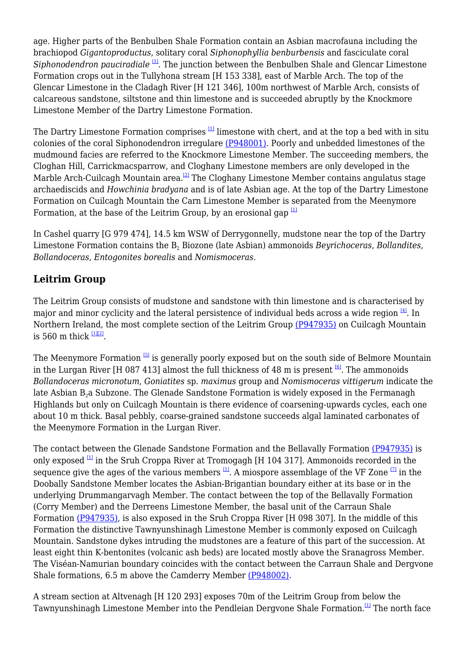age. Higher parts of the Benbulben Shale Formation contain an Asbian macrofauna including the brachiopod *Gigantoproductus*, solitary coral *Siphonophyllia benburbensis* and fasciculate coral *Siphonodendron pauciradiale* <sup>[\[1\]](#page--1-0)</sup>. The junction between the Benbulben Shale and Glencar Limestone Formation crops out in the Tullyhona stream [H 153 338], east of Marble Arch. The top of the Glencar Limestone in the Cladagh River [H 121 346], 100m northwest of Marble Arch, consists of calcareous sandstone, siltstone and thin limestone and is succeeded abruptly by the Knockmore Limestone Member of the Dartry Limestone Formation.

The Dartry Limestone Formation comprises  $\mathbb{H}$  limestone with chert, and at the top a bed with in situ colonies of the coral Siphonodendron irregulare [\(P948001\).](http://earthwise.bgs.ac.uk/images/3/32/P948001.jpg) Poorly and unbedded limestones of the mudmound facies are referred to the Knockmore Limestone Member. The succeeding members, the Cloghan Hill, Carrickmacsparrow, and Cloghany Limestone members are only developed in the Marble Arch-Cuilcagh Mountain area.<sup>[\[2\]](#page--1-0)</sup> The Cloghany Limestone Member contains angulatus stage archaediscids and *Howchinia bradyana* and is of late Asbian age. At the top of the Dartry Limestone Formation on Cuilcagh Mountain the Carn Limestone Member is separated from the Meenymore Formation, at the base of the Leitrim Group, by an erosional gap  $[1]$ 

In Cashel quarry [G 979 474], 14.5 km WSW of Derrygonnelly, mudstone near the top of the Dartry Limestone Formation contains the B<sub>2</sub> Biozone (late Asbian) ammonoids *Beyrichoceras, Bollandites, Bollandoceras*, *Entogonites borealis* and *Nomismoceras*.

# **Leitrim Group**

The Leitrim Group consists of mudstone and sandstone with thin limestone and is characterised by major and minor cyclicity and the lateral persistence of individual beds across a wide region  $[4]$ . In Northern Ireland, the most complete section of the Leitrim Group [\(P947935\)](http://earthwise.bgs.ac.uk/images/e/e7/P947935.jpg) on Cuilcagh Mountain is 560 m thick  $\frac{11|21}{2}$ .

The Meenymore Formation  $\frac{51}{2}$  is generally poorly exposed but on the south side of Belmore Mountain in the Lurgan River [H 087 413] almost the full thickness of 48 m is present  $\frac{161}{2}$ . The ammonoids *Bollandoceras micronotum*, *Goniatites* sp. *maximus* group and *Nomismoceras vittigerum* indicate the late Asbian  $B_2a$  Subzone. The Glenade Sandstone Formation is widely exposed in the Fermanagh Highlands but only on Cuilcagh Mountain is there evidence of coarsening-upwards cycles, each one about 10 m thick. Basal pebbly, coarse-grained sandstone succeeds algal laminated carbonates of the Meenymore Formation in the Lurgan River.

The contact between the Glenade Sandstone Formation and the Bellavally Formation [\(P947935\)](http://earthwise.bgs.ac.uk/images/e/e7/P947935.jpg) is only exposed  $\frac{1}{2}$  in the Sruh Croppa River at Tromogagh [H 104 317]. Ammonoids recorded in the sequence give the ages of the various members  $[1]$ . A miospore assemblage of the VF Zone  $[7]$  in the Doobally Sandstone Member locates the Asbian-Brigantian boundary either at its base or in the underlying Drummangarvagh Member. The contact between the top of the Bellavally Formation (Corry Member) and the Derreens Limestone Member, the basal unit of the Carraun Shale Formation [\(P947935\)](http://earthwise.bgs.ac.uk/images/e/e7/P947935.jpg), is also exposed in the Sruh Croppa River [H 098 307]. In the middle of this Formation the distinctive Tawnyunshinagh Limestone Member is commonly exposed on Cuilcagh Mountain. Sandstone dykes intruding the mudstones are a feature of this part of the succession. At least eight thin K-bentonites (volcanic ash beds) are located mostly above the Sranagross Member. The Viséan-Namurian boundary coincides with the contact between the Carraun Shale and Dergvone Shale formations, 6.5 m above the Camderry Member [\(P948002\).](http://earthwise.bgs.ac.uk/images/8/8e/P948002.jpg)

A stream section at Altvenagh [H 120 293] exposes 70m of the Leitrim Group from below the Tawnyunshinagh Limestone Member into the Pendleian Dergvone Shale Formation.[\[1\]](#page--1-0) The north face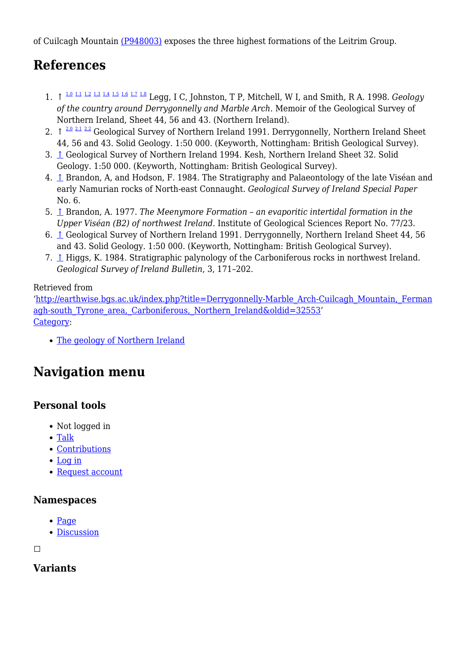of Cuilcagh Mountain [\(P948003\)](http://earthwise.bgs.ac.uk/images/2/2a/P948003.jpg) exposes the three highest formations of the Leitrim Group.

# **References**

- ↑ [1.0](#page--1-0) [1.1](#page--1-0) [1.2](#page--1-0) [1.3](#page--1-0) [1.4](#page--1-0) [1.5](#page--1-0) [1.6](#page--1-0) [1.7](#page--1-0) [1.8](#page--1-0) 1. Legg, I C, Johnston, T P, Mitchell, W I, and Smith, R A. 1998. *Geology of the country around Derrygonnelly and Marble Arch*. Memoir of the Geological Survey of Northern Ireland, Sheet 44, 56 and 43. (Northern Ireland).
- 2.  $\int_0^{\infty} \frac{2.0 \times 1.2 \times 2.2}{2.1 \times 2.2}$  $\int_0^{\infty} \frac{2.0 \times 1.2 \times 2.2}{2.1 \times 2.2}$  $\int_0^{\infty} \frac{2.0 \times 1.2 \times 2.2}{2.1 \times 2.2}$  $\int_0^{\infty} \frac{2.0 \times 1.2 \times 2.2}{2.1 \times 2.2}$  $\int_0^{\infty} \frac{2.0 \times 1.2 \times 2.2}{2.1 \times 2.2}$  $\int_0^{\infty} \frac{2.0 \times 1.2 \times 2.2}{2.1 \times 2.2}$  $\int_0^{\infty} \frac{2.0 \times 1.2 \times 2.2}{2.1 \times 2.2}$  Geological Survey of Northern Ireland 1991. Derrygonnelly, Northern Ireland Sheet 44, 56 and 43. Solid Geology. 1:50 000. (Keyworth, Nottingham: British Geological Survey).
- 3. [↑](#page--1-0) Geological Survey of Northern Ireland 1994. Kesh, Northern Ireland Sheet 32. Solid Geology. 1:50 000. (Keyworth, Nottingham: British Geological Survey).
- 4. [↑](#page--1-0) Brandon, A, and Hodson, F. 1984. The Stratigraphy and Palaeontology of the late Viséan and early Namurian rocks of North-east Connaught. *Geological Survey of Ireland Special Paper* No. 6.
- 5. [↑](#page--1-0) Brandon, A. 1977. *The Meenymore Formation an evaporitic intertidal formation in the Upper Viséan (B2) of northwest Ireland*. Institute of Geological Sciences Report No. 77/23.
- 6. [↑](#page--1-0) Geological Survey of Northern Ireland 1991. Derrygonnelly, Northern Ireland Sheet 44, 56 and 43. Solid Geology. 1:50 000. (Keyworth, Nottingham: British Geological Survey).
- 7. [↑](#page--1-0) Higgs, K. 1984. Stratigraphic palynology of the Carboniferous rocks in northwest Ireland. *Geological Survey of Ireland Bulletin*, 3, 171–202.

#### Retrieved from

'[http://earthwise.bgs.ac.uk/index.php?title=Derrygonnelly-Marble\\_Arch-Cuilcagh\\_Mountain,\\_Ferman](http://earthwise.bgs.ac.uk/index.php?title=Derrygonnelly-Marble_Arch-Cuilcagh_Mountain,_Fermanagh-south_Tyrone_area,_Carboniferous,_Northern_Ireland&oldid=32553) agh-south Tyrone area, Carboniferous, Northern Ireland&oldid=32553' [Category](http://earthwise.bgs.ac.uk/index.php/Special:Categories):

[The geology of Northern Ireland](http://earthwise.bgs.ac.uk/index.php/Category:The_geology_of_Northern_Ireland)

# **Navigation menu**

# **Personal tools**

- Not logged in
- [Talk](http://earthwise.bgs.ac.uk/index.php/Special:MyTalk)
- [Contributions](http://earthwise.bgs.ac.uk/index.php/Special:MyContributions)
- [Log in](http://earthwise.bgs.ac.uk/index.php?title=Special:UserLogin&returnto=Derrygonnelly-Marble+Arch-Cuilcagh+Mountain%2C+Fermanagh-south+Tyrone+area%2C+Carboniferous%2C+Northern+Ireland&returntoquery=action%3Dmpdf)
- [Request account](http://earthwise.bgs.ac.uk/index.php/Special:RequestAccount)

## **Namespaces**

- [Page](http://earthwise.bgs.ac.uk/index.php/Derrygonnelly-Marble_Arch-Cuilcagh_Mountain,_Fermanagh-south_Tyrone_area,_Carboniferous,_Northern_Ireland)
- [Discussion](http://earthwise.bgs.ac.uk/index.php?title=Talk:Derrygonnelly-Marble_Arch-Cuilcagh_Mountain,_Fermanagh-south_Tyrone_area,_Carboniferous,_Northern_Ireland&action=edit&redlink=1)

 $\Box$ 

# **Variants**